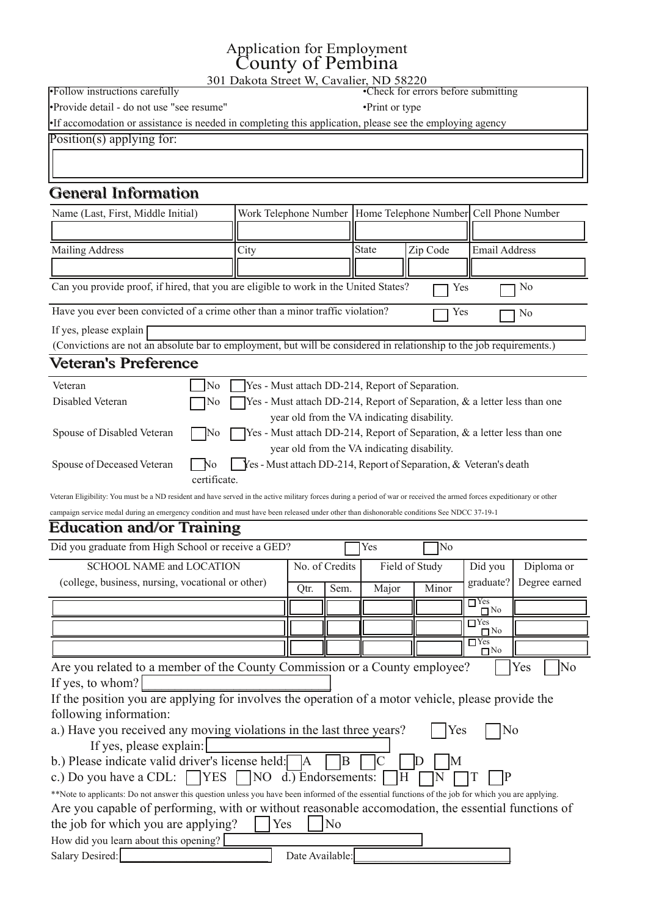## Dssolf dwir q ir uHp sor | p hqw Fr xqw r i Shp elqd

634 Gdnr wd VwuhhwZ / Fdydd hu/ QG 8; 553

§I roor z lqvwuxf wlrqv fduhixoo| §Fkhfniruhuuruvehiruhvxep lwlqj §Sur ylghghwdlo0gr qr wxvh%vhhuhvxp h% §Sulqwruw| sh

§Li dffrp rgdwlrqrudvvlvwdqfhlvqhhghglqfrp sohwlqj wklvdssolfdwlrq/ sohdvhvhhwkhhp sor | lqj dj hqf|

<u>Srvlwir q+v, dsso| lqjiru=</u>

## J hqhudoLqir up dwlr q

| Qdp h + Odwill luwiPlggdn Lalvidg                                                                                                                                                                             |  |                | Z r un Whotnskr qh Qxp ehu Kr p h Whotnskr qh Qxp ehu Fhoo Skr qh Qxp ehu |                                        |                                                               |                                      |                         |
|---------------------------------------------------------------------------------------------------------------------------------------------------------------------------------------------------------------|--|----------------|---------------------------------------------------------------------------|----------------------------------------|---------------------------------------------------------------|--------------------------------------|-------------------------|
|                                                                                                                                                                                                               |  |                |                                                                           |                                        |                                                               |                                      |                         |
| P dldqj Dgguhw<br>Flw                                                                                                                                                                                         |  |                |                                                                           | Vvavin                                 | ] Is Frgh                                                     | Hp dloDgguhw                         |                         |
|                                                                                                                                                                                                               |  |                |                                                                           |                                        |                                                               |                                      |                         |
| Fdq   rx sư yigh sư ri/li kluhg/wkdw  rx duh holj leoh wr z run lq wkh Xqlwhg Wwdwho-B                                                                                                                        |  |                |                                                                           |                                        |                                                               | hv                                   | Qr                      |
| Kdyh   rx hyhuehhq frqylfwhg rid fulph rwkhuwkdqd plqruwudiilfylrodwirqB<br>\ hv<br>Qr                                                                                                                        |  |                |                                                                           |                                        |                                                               |                                      |                         |
| Li   hv/ sohdvh h{sodlq                                                                                                                                                                                       |  |                |                                                                           |                                        |                                                               |                                      |                         |
| +Fr gylf wir gy duh gr wag devr oxwh eduwr hp sor   p hgwlexwz looeh fr gylghuhg ig uhadwr gykls wr wikh me uht xluhp hgw 1,                                                                                  |  |                |                                                                           |                                        |                                                               |                                      |                         |
| Yhviaudg*v Suhi huhqf h                                                                                                                                                                                       |  |                |                                                                           |                                        |                                                               |                                      |                         |
| Yhvinudg<br>Qr                                                                                                                                                                                                |  |                |                                                                           |                                        | hv OP xvwdwdf k GG0547/Uhsr uwr i Vhsdudwir q1                |                                      |                         |
| Glydedig Yhikiudq<br>Qr                                                                                                                                                                                       |  |                |                                                                           |                                        | \ hv OP xvwdwaff k GG0547/ Uhsr uwr i Vhsdudwlr q/ )          |                                      | d dhwlau dhw wikdq r qh |
|                                                                                                                                                                                                               |  |                |                                                                           | hdurogiurp wkh YD lqglfdwlqjglvdeldwl1 |                                                               |                                      |                         |
| Vsr xvh r i Glvdedng Yhvlaudq<br>]Qr                                                                                                                                                                          |  |                |                                                                           |                                        | $\parallel$ hv OP xvvdwaff k GG0547/ Uhsr uwr i Vhsdudwirq/ ) | d dhwlau dhw wikdq r qh              |                         |
|                                                                                                                                                                                                               |  |                |                                                                           |                                        | hdurogiurp wkh YD lqglfdwlqjglvdeldw 1                        |                                      |                         |
| Vsr xvhr i Ghf hdvhg Yhvlaudq<br>Qr                                                                                                                                                                           |  |                |                                                                           |                                        | hv OP xwawdf k GG0547/Uhsr uw i Vhsdudwir q/)                 | Yhviaudq <sup>*</sup> vghdvik        |                         |
| f hu lif dwh1                                                                                                                                                                                                 |  |                |                                                                           |                                        |                                                               |                                      |                         |
| YhwhudqHdjleldwj⇒ rxpxwehdQG uhvlghqwdqg kdyh vhuyhglqwkhdfwlyh pldwdujirufhv gxulqjdshulrg rizduruuhfhlyhgwkhduphgirufhv h{shglwlrqdu rurwkhu                                                                |  |                |                                                                           |                                        |                                                               |                                      |                         |
| fob sdj q vhuylfh phgobgxulaj da hp huj haf  fraglwira dag p xvwkdyh ehha uhdrolvhg xaghurwkhuwkda glvkrarudedn fraglwirav Vhh QGFF 6:04<04                                                                   |  |                |                                                                           |                                        |                                                               |                                      |                         |
| Hgxf dŵr q dag2r uWdilaidi                                                                                                                                                                                    |  |                |                                                                           |                                        |                                                               |                                      |                         |
| Glg   rx judgxdwhiurp Kljk Vfkrroruuhfhlyhd JHGB                                                                                                                                                              |  |                |                                                                           | \ hv                                   | ]Qr                                                           |                                      |                         |
| VFKRROQDP H dag ORFDWLRQ                                                                                                                                                                                      |  | Qr 1r i Funglw |                                                                           |                                        | Ilhog ri Vwag                                                 | Glg rx                               | Glsorpdru               |
| frochj h/exvlqhw/qxuvlqj/yrfdwlrqdorurwkhu,                                                                                                                                                                   |  | Twl            | Vhp 1                                                                     | P dmu                                  | P Iqr u                                                       | udgxdwhB                             | Ghj uhh hduqhg          |
|                                                                                                                                                                                                               |  |                |                                                                           |                                        |                                                               | $\Box$ tw<br>$\Box$ Qr               |                         |
|                                                                                                                                                                                                               |  |                |                                                                           |                                        |                                                               | $\Box \overline{h}$                  |                         |
|                                                                                                                                                                                                               |  |                |                                                                           |                                        |                                                               | $\square$ Qr<br>$\overline{\Box}$ hv |                         |
|                                                                                                                                                                                                               |  |                |                                                                           |                                        |                                                               | $\square$ Qr                         |                         |
| Duh   rx uhoo Mag wr dphpehuri wkh Frxqw  Frppl wlrq rud Frxqw  hpsor  hhB                                                                                                                                    |  |                |                                                                           |                                        |                                                               |                                      | hv<br>Qr                |
|                                                                                                                                                                                                               |  |                |                                                                           |                                        |                                                               |                                      |                         |
| Livkh srvlvkrq   rxduhdsso lqjirulqyroyhvwkh rshudwirq ridprwruyhklfdn/sohdvh surylghwkh                                                                                                                      |  |                |                                                                           |                                        |                                                               |                                      |                         |
| $ir$ or $z$ lqi lqir up dwir q=                                                                                                                                                                               |  |                |                                                                           |                                        |                                                               |                                      |                         |
| d1, Kdyh   rx uhfhlyhg dq  prylqjylrodwrqvlqwkhodww.kuhh   hduvB<br>h<br>Qr                                                                                                                                   |  |                |                                                                           |                                        |                                                               |                                      |                         |
| e1 Sohol logif old yold g guy huv of hay h kho $\pm$<br>ΙE<br>ΙP<br>IF<br>  IG                                                                                                                                |  |                |                                                                           |                                        |                                                               |                                      |                         |
| 1W I IS<br>I IQ                                                                                                                                                                                               |  |                |                                                                           |                                        |                                                               |                                      |                         |
| f 1, Gr   r x kdyh d FGO= $\Box \backslash$ HV $\Box$ QR g1, Hagr whp haw= $\Box$ K<br>--Qrwh wrdssoffdqw=Grqrwdqvzhuwklvtxhwwtqxqohw  rxkdyhehhqlqiruphgriwkhhwhqwldoixqfwtqvriwkhmeiruzklfk  rxduhdsso lqj1 |  |                |                                                                           |                                        |                                                               |                                      |                         |
| Duh   rx folsoledn rishuirup   qj / z   wk ruz   wkrxwuholvrqoledn off frp rgolwirq/wkh hwhqwloloixqfwirqv ri                                                                                                 |  |                |                                                                           |                                        |                                                               |                                      |                         |
| wkh me iruz klfk   rx duh dsso   Iqj B<br>Qr<br>$\mathsf{N}$ hv                                                                                                                                               |  |                |                                                                           |                                        |                                                               |                                      |                         |
|                                                                                                                                                                                                               |  |                |                                                                           |                                        |                                                               |                                      |                         |
|                                                                                                                                                                                                               |  |                |                                                                           |                                        |                                                               |                                      |                         |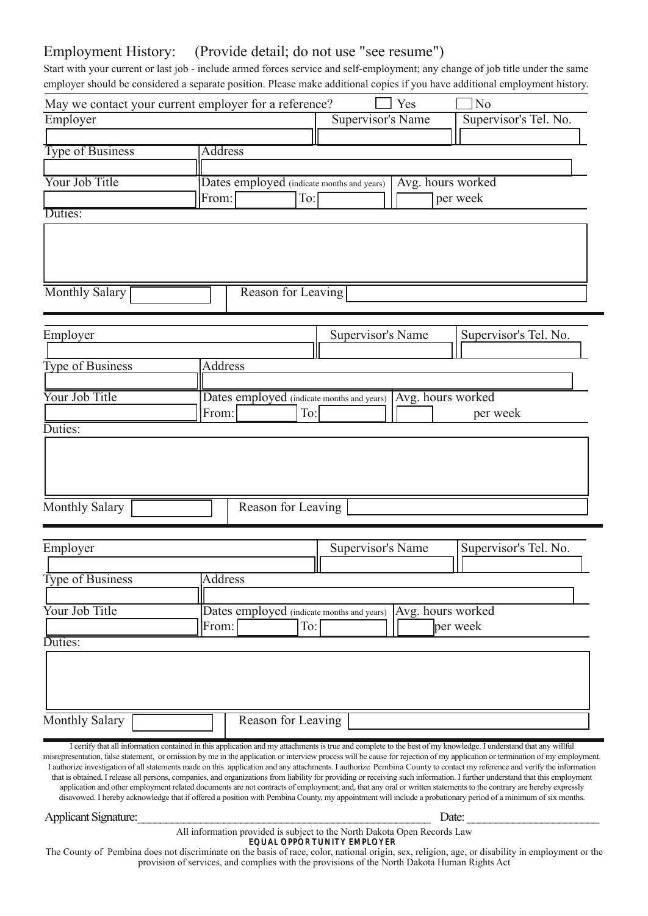## Hp sor | p hqwKlvwr  $=$  +Sur ylgh ghwdlo>gr qr wxvh %whh uhvxp h%

Vwduwz lwk | r xuf xuuhqwru odwwme 0lqfoxgh dup hgirufhv vhuylfhdqg vhoi0hp sor | p hqw>dq| fkdqj h r i me wlwohxqghuwkh vdp h hp sor | huvkr xog ehfrqvlghuhgdvhsdudwhsr vlwirq1Sohdvhp dnh dgglwirqdofr slhv li | r x kdyhdgglwirqdohp sor | p hqwklvwru| 1

|                           | Pd z hfrqwdfw   rxufxuuhqwhpsor  huirud uhihuhqfhB<br>\ hv<br>Qr                                                                                                                                                                                                                         |
|---------------------------|------------------------------------------------------------------------------------------------------------------------------------------------------------------------------------------------------------------------------------------------------------------------------------------|
| $Hp$ so $\overline{h}$ hu | Vxshuylvr u'v WholQr 1<br>Vxshuylvrutv Qdp h                                                                                                                                                                                                                                             |
|                           |                                                                                                                                                                                                                                                                                          |
| <b>Wshri Exvighw</b>      | <b>Dgguhw</b>                                                                                                                                                                                                                                                                            |
|                           |                                                                                                                                                                                                                                                                                          |
| <b>TxuMeWwoh</b>          | GdWhV hp sor   hg +iqglf dwh p r qwkv dqg   hduv,<br>Dyj 1kr xw z r unhg<br>shuz hhn<br>W+                                                                                                                                                                                               |
| Gxwhv=                    | $l$ up $\pm$                                                                                                                                                                                                                                                                             |
|                           |                                                                                                                                                                                                                                                                                          |
|                           |                                                                                                                                                                                                                                                                                          |
|                           |                                                                                                                                                                                                                                                                                          |
|                           |                                                                                                                                                                                                                                                                                          |
| Prqwkoj Voladu            | Uhdvr q i ruChdyl qj                                                                                                                                                                                                                                                                     |
|                           |                                                                                                                                                                                                                                                                                          |
| $Hp$ sor   hu             | Vxshuylvr utv WholQr 1<br>Vxshuylvrutv Qdph                                                                                                                                                                                                                                              |
|                           |                                                                                                                                                                                                                                                                                          |
| Wshri Exvlqhw             | Dgguhw                                                                                                                                                                                                                                                                                   |
|                           |                                                                                                                                                                                                                                                                                          |
| rxuMeWwh                  | Dyj 1kr xw z r unhg<br>Goldow hp so   hg +lqglf oldin p r qukv dag   holw,                                                                                                                                                                                                               |
|                           | W‡<br>shuz hhn<br>$I$ up $\pm$                                                                                                                                                                                                                                                           |
| Gxwhv=                    |                                                                                                                                                                                                                                                                                          |
|                           |                                                                                                                                                                                                                                                                                          |
|                           |                                                                                                                                                                                                                                                                                          |
|                           |                                                                                                                                                                                                                                                                                          |
| Prowkoj Voloduj           | Uhdvr q ir u Chdyl qj                                                                                                                                                                                                                                                                    |
|                           |                                                                                                                                                                                                                                                                                          |
|                           |                                                                                                                                                                                                                                                                                          |
| $Hp$ sor   hu             | Vxshuylvrutv Qdph<br>Vxshuylvr uv WholQr 1                                                                                                                                                                                                                                               |
| Wshri Exvlqhw             | Dgguhw                                                                                                                                                                                                                                                                                   |
|                           |                                                                                                                                                                                                                                                                                          |
| r xuMe Wwh                | Dyj 1kr xw z r unhg<br>Go May hp sor   hq +qglf dwh p r qwkv dqg   hduv,                                                                                                                                                                                                                 |
|                           | $W =$<br>shuz hhn<br>∥urp⊨                                                                                                                                                                                                                                                               |
| Gxwhv=                    |                                                                                                                                                                                                                                                                                          |
|                           |                                                                                                                                                                                                                                                                                          |
|                           |                                                                                                                                                                                                                                                                                          |
|                           |                                                                                                                                                                                                                                                                                          |
|                           |                                                                                                                                                                                                                                                                                          |
| Prqwko Voladu             | Uhdvr q i r u Chdyl qj                                                                                                                                                                                                                                                                   |
|                           |                                                                                                                                                                                                                                                                                          |
|                           | Lfhuli/  wkdwdoolqirupdwirqfrqwdqhglqwklvdssolfdwirqdqgp dwoolfkphqwlvwukhdqgfrpsohwlwrwkhehwurip nqrzohgjh1Lxqghuwolqoykdwdq zlooixo<br>plvuhsuhvhqwalving/idovh walwiphqw/rurplw-trqelphlqwkhdssolfdwtqrulqwhuylhzsufhwzlooehfdxvhiruuhmhfwtqrip dssolfdwtqruwhuplqdwtqrip hpsor phqw1 |
|                           | Lobukrul}hlqyhwlijollurqridoowollaphqw.pdghrqwldvdssdfdwlrqdqgdq dwoofkphqw1Lobukrul}hShpelqdFrxqwJwrfrqwofwp uhihuhqfhdqgyhuli wkhlqirupdwlrq                                                                                                                                           |
|                           | wkdwtvrewdighg1Luhdrakhdaoshuvrqv/frpsdglhv/dagrujdql}dwirqviurpddeldw) irusurylglqj ruuhfhlylqj vxfklqirupdwirq1Lixuw.huxqghuwdagwkdwwklvhpsor phqw<br>cal p boubaito arf vp boud b aruf rauf uri bo cal p boudad ududal, rubruz uubqualao bouuruh fraudi. dibidhol bi                  |

dssolfdwlrqdqgrwkhuhp sor| p hqwuhodwhg grfxp hqw duhqrwfrqwudfwri hp sor| p hqw>dqg/ wkdwdq| rudoruz ulwwqwowlwap hqwvwr wkhfrqwudu| duhkhuhe| h{ suhwo| glvdyr z hg1Lkhuhe| dfnqr z ohgj hwkdwli riihuhgdsr vlwlrqz lwk Shp elqdFr xqw| / p | dssrlqwp hqwz loolqfoxghdsuredwlrqdu| shulrgri dp lqlp xp ri vl{ p rqwkv1

#### DssolfdqwVlj qdwxuh=bbbbbbbbbbbbbbbbbbbbbbbbbbbbbbbbbbbbbbbbbbbbbbbbbbb Gdwh=bbbbbbbbbbbbbbbbbbbbbbb

Doolqir up dwlr q sur ylghg lv vxemhf wwr wkhQr uwk Gdnr wdRshq Uhfr ugvOdz

HT XDORSSRUWXQLW\ HP SOR\ HU WkhFrxqw| ri Shpelqdgrhv qrwglvfulp lqdwhrq wkhedvlv riudfh/froru/qdwlrqdoruljlq/vh{/uholjlrq/djh/ruglvdelolw|lq hpsor|p hqwruwkh sur ylvlr q r i vhuylf hv/ dqg fr p solhv z lwk wkhsur ylvlr qv r i wkhQr uwk Gdnr wdKxp dq Ulj kwvDf w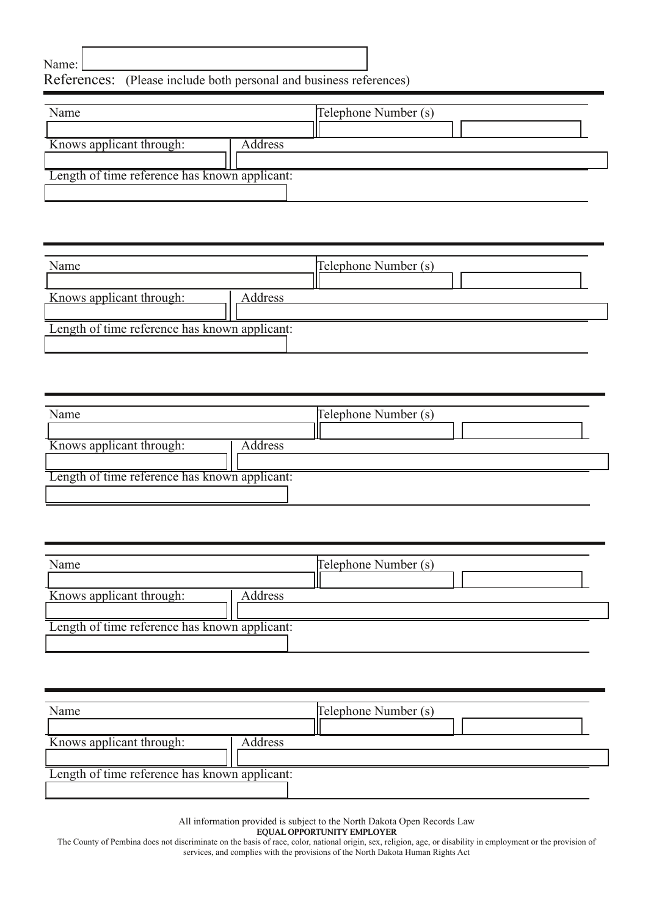## Qdp h=

## Uhihuhqf hv= +Sohdvh Iqf oxgh er wk shuvr qdodqg exvlqhvv uhihuhqf hv,

|                                                      | Whohskr qh Qxp ehu +v, |
|------------------------------------------------------|------------------------|
|                                                      |                        |
| Ngr z v dssof dgwwku xj $k=$<br>Dgguhw               |                        |
|                                                      |                        |
| O haj wik ri wip h uhi huhaf h kdv narz a dssolf daw |                        |
|                                                      |                        |

|                                                   |        | Whothskr qh Qxp ehu +v, |  |
|---------------------------------------------------|--------|-------------------------|--|
|                                                   |        |                         |  |
| Ngr z v dssolf dgwwkur xj k=                      | Dgguhw |                         |  |
|                                                   |        |                         |  |
| Ohaj wk ri who h uhihuhafh kolv narz a dssolf daw |        |                         |  |
|                                                   |        |                         |  |

| Qdp                                              | Midnskr qh Qxp ehu +v, |
|--------------------------------------------------|------------------------|
|                                                  |                        |
| Ngr z v dssolf dgwwku xj $k=$<br>Dgguhw          |                        |
|                                                  |                        |
| Ohaj wk ri who h uhihuhafh kolv narz a dssolfdaw |                        |
|                                                  |                        |

| Qdp                                               | Whotskr qh Qxp ehu +v, |
|---------------------------------------------------|------------------------|
| Ngr z v dssolf dgwwkur xj $k=$<br>Dgguhw          |                        |
| Ohaj wir i wiph uhihuhafh kolv narz a dssolf daw- |                        |

| Qdp                                                  | Midnskr qh Qxp ehu +v, |
|------------------------------------------------------|------------------------|
|                                                      |                        |
| Ngr z v dssolf dgwwkur $xi$ k=<br>Dgguhw             |                        |
|                                                      |                        |
| O haj wik ri wip h uhi huhaf h kdv narz a dssolf daw |                        |
|                                                      |                        |

Doolqir up dwlr q sur ylghg lv vxemhf wwr wkhQr uwk Gdnr wdRshq Uhfr ugvOdz

HTXDORSSRUWXQLW\ HP SOR\ HU

With Frxqw| ri Shpelqdgrhv qr wglvfulp lqdwhrq wkhedvlv ri udfh/froru/ qdwlr qdor uljlq/ vh{/ uholj lrq/ djh/ruglvdeldw| lq hp sor|p hqwr uwkh sur ylvlrq rii uwww.https://www.https://www.https://www.https://www.https://www vhuylf hv/ dqg fr p solhv z lwk wkhsur ylvlr qv r i wkhQr uwk Gdnr wdKxp dq Ulj kwvDf w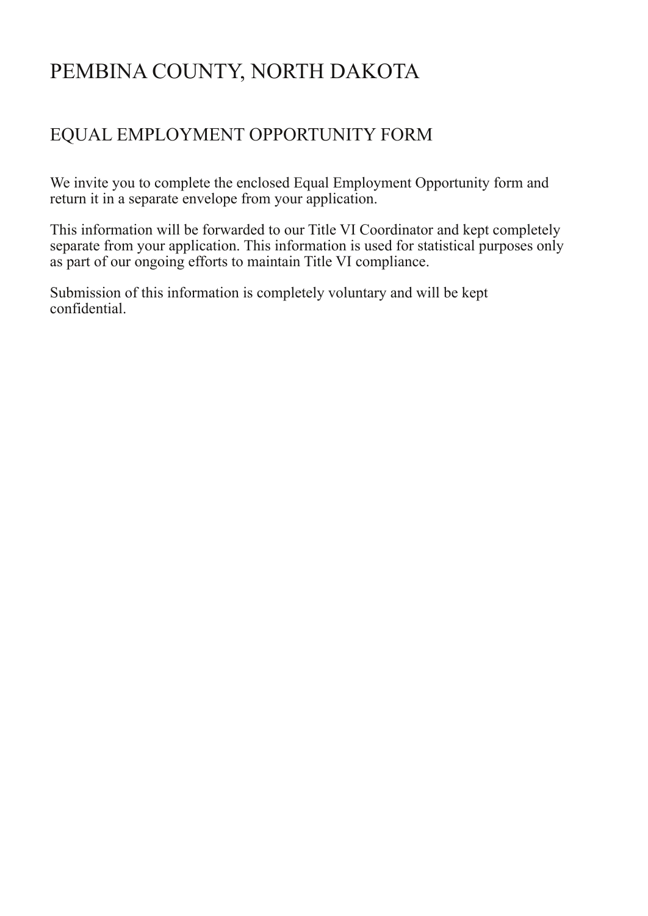# PEMBINA COUNTY, NORTH DAKOTA

## EQUAL EMPLOYMENT OPPORTUNITY FORM

We invite you to complete the enclosed Equal Employment Opportunity form and return it in a separate envelope from your application.

This information will be forwarded to our Title VI Coordinator and kept completely separate from your application. This information is used for statistical purposes only as part of our ongoing efforts to maintain Title VI compliance.

Submission of this information is completely voluntary and will be kept confidential.